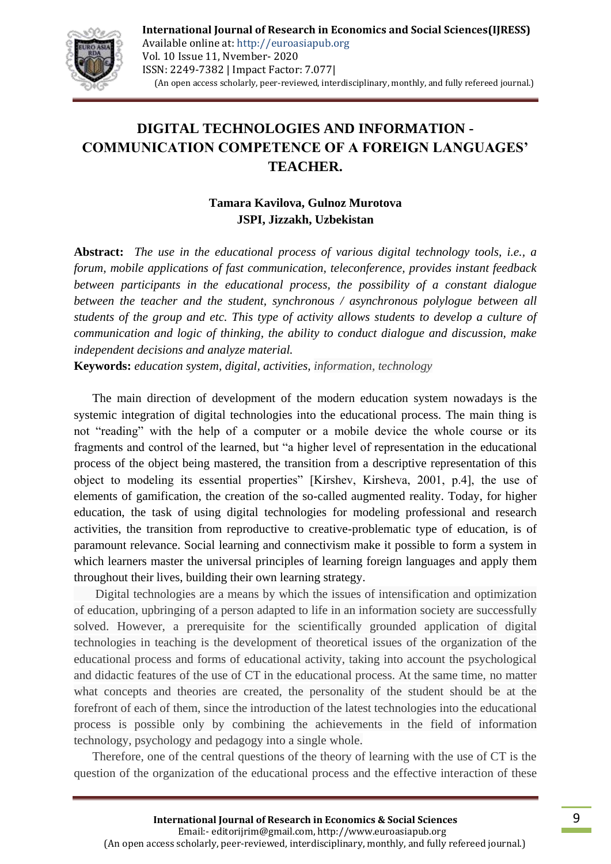

## **DIGITAL TECHNOLOGIES AND INFORMATION - COMMUNICATION COMPETENCE OF A FOREIGN LANGUAGES' TEACHER.**

## **Tamara Kavilova, Gulnoz Murotova JSPI, Jizzakh, Uzbekistan**

**Abstract:** *The use in the educational process of various digital technology tools, i.e., a forum, mobile applications of fast communication, teleconference, provides instant feedback between participants in the educational process, the possibility of a constant dialogue between the teacher and the student, synchronous / asynchronous polylogue between all students of the group and etc. This type of activity allows students to develop a culture of communication and logic of thinking, the ability to conduct dialogue and discussion, make independent decisions and analyze material.*

**Keywords:** *education system, digital, activities, information, technology*

 The main direction of development of the modern education system nowadays is the systemic integration of digital technologies into the educational process. The main thing is not "reading" with the help of a computer or a mobile device the whole course or its fragments and control of the learned, but "a higher level of representation in the educational process of the object being mastered, the transition from a descriptive representation of this object to modeling its essential properties" [Kirshev, Kirsheva, 2001, p.4], the use of elements of gamification, the creation of the so-called augmented reality. Today, for higher education, the task of using digital technologies for modeling professional and research activities, the transition from reproductive to creative-problematic type of education, is of paramount relevance. Social learning and connectivism make it possible to form a system in which learners master the universal principles of learning foreign languages and apply them throughout their lives, building their own learning strategy.

 Digital technologies are a means by which the issues of intensification and optimization of education, upbringing of a person adapted to life in an information society are successfully solved. However, a prerequisite for the scientifically grounded application of digital technologies in teaching is the development of theoretical issues of the organization of the educational process and forms of educational activity, taking into account the psychological and didactic features of the use of CT in the educational process. At the same time, no matter what concepts and theories are created, the personality of the student should be at the forefront of each of them, since the introduction of the latest technologies into the educational process is possible only by combining the achievements in the field of information technology, psychology and pedagogy into a single whole.

 Therefore, one of the central questions of the theory of learning with the use of CT is the question of the organization of the educational process and the effective interaction of these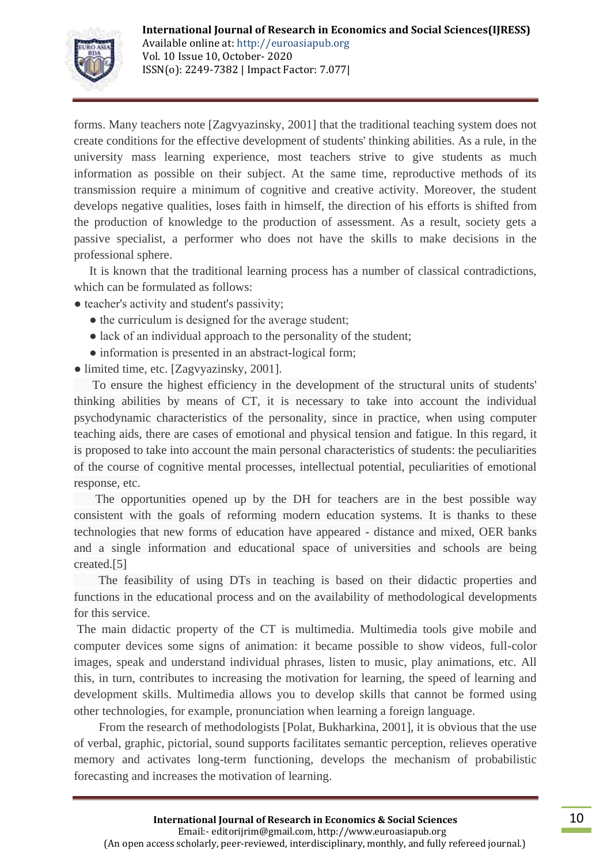

forms. Many teachers note [Zagvyazinsky, 2001] that the traditional teaching system does not create conditions for the effective development of students' thinking abilities. As a rule, in the university mass learning experience, most teachers strive to give students as much information as possible on their subject. At the same time, reproductive methods of its transmission require a minimum of cognitive and creative activity. Moreover, the student develops negative qualities, loses faith in himself, the direction of his efforts is shifted from the production of knowledge to the production of assessment. As a result, society gets a passive specialist, a performer who does not have the skills to make decisions in the professional sphere.

 It is known that the traditional learning process has a number of classical contradictions, which can be formulated as follows:

- teacher's activity and student's passivity;
	- the curriculum is designed for the average student;
	- lack of an individual approach to the personality of the student:
	- information is presented in an abstract-logical form;
- limited time, etc. [Zagvyazinsky, 2001].

 To ensure the highest efficiency in the development of the structural units of students' thinking abilities by means of CT, it is necessary to take into account the individual psychodynamic characteristics of the personality, since in practice, when using computer teaching aids, there are cases of emotional and physical tension and fatigue. In this regard, it is proposed to take into account the main personal characteristics of students: the peculiarities of the course of cognitive mental processes, intellectual potential, peculiarities of emotional response, etc.

 The opportunities opened up by the DH for teachers are in the best possible way consistent with the goals of reforming modern education systems. It is thanks to these technologies that new forms of education have appeared - distance and mixed, OER banks and a single information and educational space of universities and schools are being created.[5]

 The feasibility of using DTs in teaching is based on their didactic properties and functions in the educational process and on the availability of methodological developments for this service.

The main didactic property of the CT is multimedia. Multimedia tools give mobile and computer devices some signs of animation: it became possible to show videos, full-color images, speak and understand individual phrases, listen to music, play animations, etc. All this, in turn, contributes to increasing the motivation for learning, the speed of learning and development skills. Multimedia allows you to develop skills that cannot be formed using other technologies, for example, pronunciation when learning a foreign language.

 From the research of methodologists [Polat, Bukharkina, 2001], it is obvious that the use of verbal, graphic, pictorial, sound supports facilitates semantic perception, relieves operative memory and activates long-term functioning, develops the mechanism of probabilistic forecasting and increases the motivation of learning.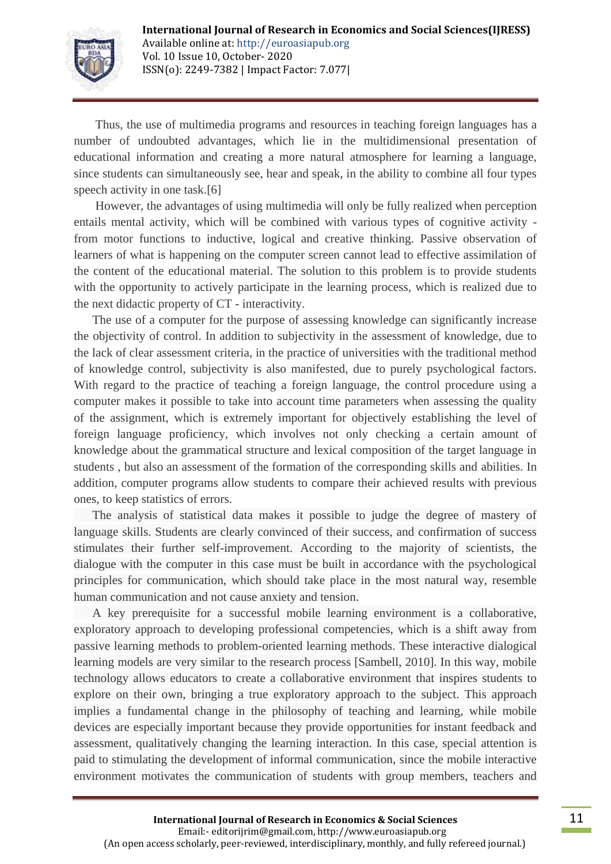

 Thus, the use of multimedia programs and resources in teaching foreign languages has a number of undoubted advantages, which lie in the multidimensional presentation of educational information and creating a more natural atmosphere for learning a language, since students can simultaneously see, hear and speak, in the ability to combine all four types speech activity in one task.[6]

 However, the advantages of using multimedia will only be fully realized when perception entails mental activity, which will be combined with various types of cognitive activity from motor functions to inductive, logical and creative thinking. Passive observation of learners of what is happening on the computer screen cannot lead to effective assimilation of the content of the educational material. The solution to this problem is to provide students with the opportunity to actively participate in the learning process, which is realized due to the next didactic property of CT - interactivity.

 The use of a computer for the purpose of assessing knowledge can significantly increase the objectivity of control. In addition to subjectivity in the assessment of knowledge, due to the lack of clear assessment criteria, in the practice of universities with the traditional method of knowledge control, subjectivity is also manifested, due to purely psychological factors. With regard to the practice of teaching a foreign language, the control procedure using a computer makes it possible to take into account time parameters when assessing the quality of the assignment, which is extremely important for objectively establishing the level of foreign language proficiency, which involves not only checking a certain amount of knowledge about the grammatical structure and lexical composition of the target language in students , but also an assessment of the formation of the corresponding skills and abilities. In addition, computer programs allow students to compare their achieved results with previous ones, to keep statistics of errors.

 The analysis of statistical data makes it possible to judge the degree of mastery of language skills. Students are clearly convinced of their success, and confirmation of success stimulates their further self-improvement. According to the majority of scientists, the dialogue with the computer in this case must be built in accordance with the psychological principles for communication, which should take place in the most natural way, resemble human communication and not cause anxiety and tension.

 A key prerequisite for a successful mobile learning environment is a collaborative, exploratory approach to developing professional competencies, which is a shift away from passive learning methods to problem-oriented learning methods. These interactive dialogical learning models are very similar to the research process [Sambell, 2010]. In this way, mobile technology allows educators to create a collaborative environment that inspires students to explore on their own, bringing a true exploratory approach to the subject. This approach implies a fundamental change in the philosophy of teaching and learning, while mobile devices are especially important because they provide opportunities for instant feedback and assessment, qualitatively changing the learning interaction. In this case, special attention is paid to stimulating the development of informal communication, since the mobile interactive environment motivates the communication of students with group members, teachers and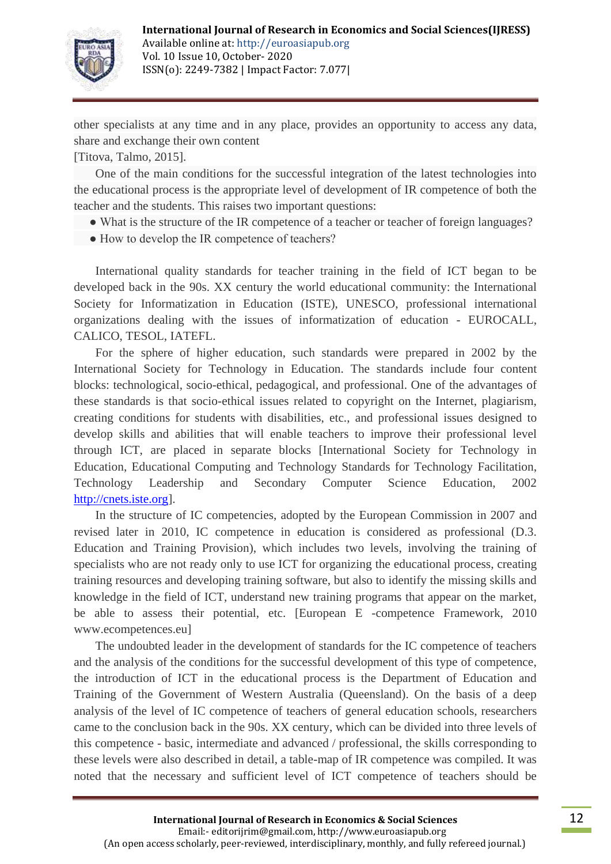

other specialists at any time and in any place, provides an opportunity to access any data, share and exchange their own content

[Titova, Talmo, 2015].

 One of the main conditions for the successful integration of the latest technologies into the educational process is the appropriate level of development of IR competence of both the teacher and the students. This raises two important questions:

- What is the structure of the IR competence of a teacher or teacher of foreign languages?
- How to develop the IR competence of teachers?

 International quality standards for teacher training in the field of ICT began to be developed back in the 90s. XX century the world educational community: the International Society for Informatization in Education (ISTE), UNESCO, professional international organizations dealing with the issues of informatization of education - EUROCALL, CALICO, TESOL, IATEFL.

 For the sphere of higher education, such standards were prepared in 2002 by the International Society for Technology in Education. The standards include four content blocks: technological, socio-ethical, pedagogical, and professional. One of the advantages of these standards is that socio-ethical issues related to copyright on the Internet, plagiarism, creating conditions for students with disabilities, etc., and professional issues designed to develop skills and abilities that will enable teachers to improve their professional level through ICT, are placed in separate blocks [International Society for Technology in Education, Educational Computing and Technology Standards for Technology Facilitation, Technology Leadership and Secondary Computer Science Education, 2002 [http://cnets.iste.org\]](http://cnets.iste.org/).

 In the structure of IC competencies, adopted by the European Commission in 2007 and revised later in 2010, IC competence in education is considered as professional (D.3. Education and Training Provision), which includes two levels, involving the training of specialists who are not ready only to use ICT for organizing the educational process, creating training resources and developing training software, but also to identify the missing skills and knowledge in the field of ICT, understand new training programs that appear on the market, be able to assess their potential, etc. [European E -competence Framework, 2010 www.ecompetences.eu]

 The undoubted leader in the development of standards for the IC competence of teachers and the analysis of the conditions for the successful development of this type of competence, the introduction of ICT in the educational process is the Department of Education and Training of the Government of Western Australia (Queensland). On the basis of a deep analysis of the level of IC competence of teachers of general education schools, researchers came to the conclusion back in the 90s. XX century, which can be divided into three levels of this competence - basic, intermediate and advanced / professional, the skills corresponding to these levels were also described in detail, a table-map of IR competence was compiled. It was noted that the necessary and sufficient level of ICT competence of teachers should be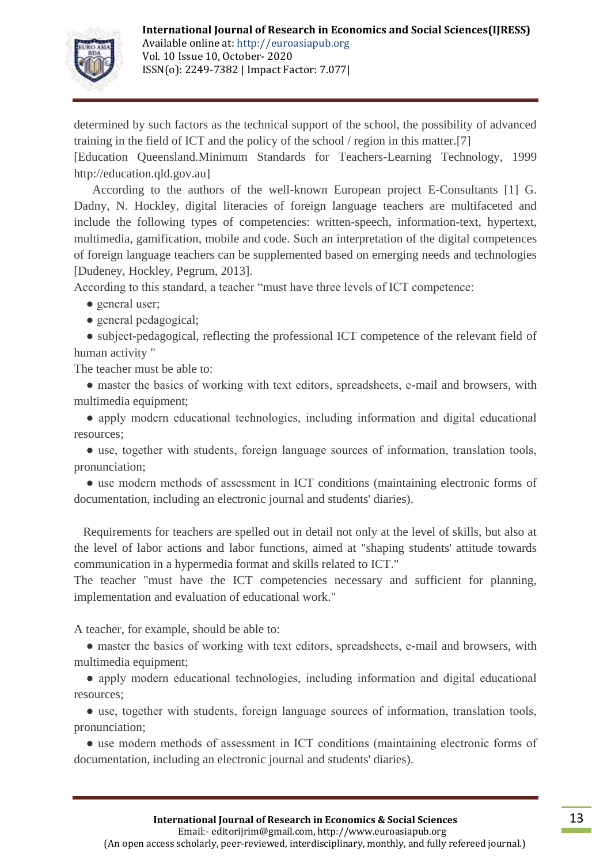

determined by such factors as the technical support of the school, the possibility of advanced training in the field of ICT and the policy of the school / region in this matter.[7]

[Education Queensland.Minimum Standards for Teachers-Learning Technology, 1999 http://education.qld.gov.au]

 According to the authors of the well-known European project E-Consultants [1] G. Dadny, N. Hockley, digital literacies of foreign language teachers are multifaceted and include the following types of competencies: written-speech, information-text, hypertext, multimedia, gamification, mobile and code. Such an interpretation of the digital competences of foreign language teachers can be supplemented based on emerging needs and technologies [Dudeney, Hockley, Pegrum, 2013].

According to this standard, a teacher "must have three levels of ICT competence:

• general user;

● general pedagogical;

• subject-pedagogical, reflecting the professional ICT competence of the relevant field of human activity "

The teacher must be able to:

• master the basics of working with text editors, spreadsheets, e-mail and browsers, with multimedia equipment;

• apply modern educational technologies, including information and digital educational resources;

• use, together with students, foreign language sources of information, translation tools, pronunciation;

• use modern methods of assessment in ICT conditions (maintaining electronic forms of documentation, including an electronic journal and students' diaries).

Requirements for teachers are spelled out in detail not only at the level of skills, but also at the level of labor actions and labor functions, aimed at "shaping students' attitude towards communication in a hypermedia format and skills related to ICT."

The teacher "must have the ICT competencies necessary and sufficient for planning, implementation and evaluation of educational work."

A teacher, for example, should be able to:

• master the basics of working with text editors, spreadsheets, e-mail and browsers, with multimedia equipment;

• apply modern educational technologies, including information and digital educational resources;

• use, together with students, foreign language sources of information, translation tools, pronunciation;

• use modern methods of assessment in ICT conditions (maintaining electronic forms of documentation, including an electronic journal and students' diaries).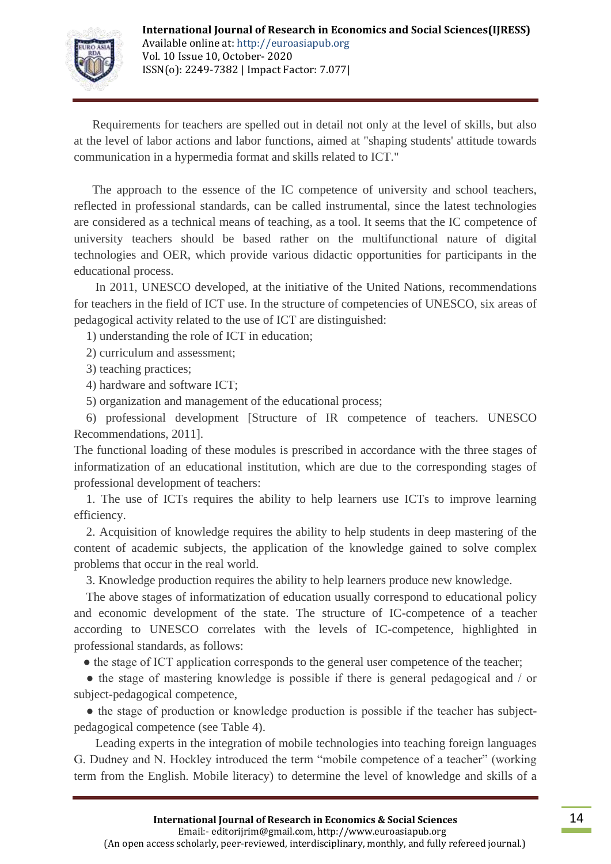

 Requirements for teachers are spelled out in detail not only at the level of skills, but also at the level of labor actions and labor functions, aimed at "shaping students' attitude towards communication in a hypermedia format and skills related to ICT."

 The approach to the essence of the IC competence of university and school teachers, reflected in professional standards, can be called instrumental, since the latest technologies are considered as a technical means of teaching, as a tool. It seems that the IC competence of university teachers should be based rather on the multifunctional nature of digital technologies and OER, which provide various didactic opportunities for participants in the educational process.

 In 2011, UNESCO developed, at the initiative of the United Nations, recommendations for teachers in the field of ICT use. In the structure of competencies of UNESCO, six areas of pedagogical activity related to the use of ICT are distinguished:

1) understanding the role of ICT in education;

2) curriculum and assessment;

3) teaching practices;

4) hardware and software ICT;

5) organization and management of the educational process;

 6) professional development [Structure of IR competence of teachers. UNESCO Recommendations, 2011].

The functional loading of these modules is prescribed in accordance with the three stages of informatization of an educational institution, which are due to the corresponding stages of professional development of teachers:

 1. The use of ICTs requires the ability to help learners use ICTs to improve learning efficiency.

 2. Acquisition of knowledge requires the ability to help students in deep mastering of the content of academic subjects, the application of the knowledge gained to solve complex problems that occur in the real world.

3. Knowledge production requires the ability to help learners produce new knowledge.

 The above stages of informatization of education usually correspond to educational policy and economic development of the state. The structure of IC-competence of a teacher according to UNESCO correlates with the levels of IC-competence, highlighted in professional standards, as follows:

• the stage of ICT application corresponds to the general user competence of the teacher;

• the stage of mastering knowledge is possible if there is general pedagogical and / or subject-pedagogical competence,

• the stage of production or knowledge production is possible if the teacher has subjectpedagogical competence (see Table 4).

 Leading experts in the integration of mobile technologies into teaching foreign languages G. Dudney and N. Hockley introduced the term "mobile competence of a teacher" (working term from the English. Mobile literacy) to determine the level of knowledge and skills of a